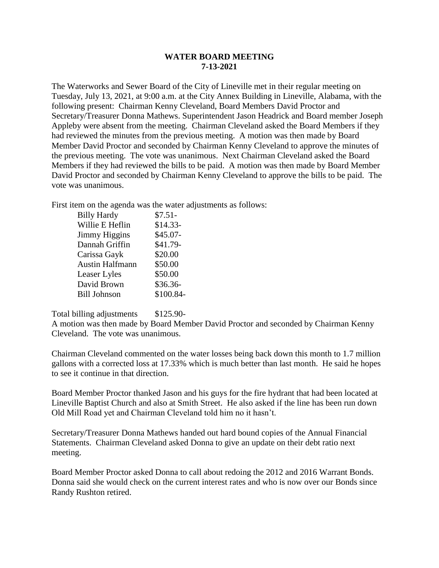## **WATER BOARD MEETING 7-13-2021**

The Waterworks and Sewer Board of the City of Lineville met in their regular meeting on Tuesday, July 13, 2021, at 9:00 a.m. at the City Annex Building in Lineville, Alabama, with the following present: Chairman Kenny Cleveland, Board Members David Proctor and Secretary/Treasurer Donna Mathews. Superintendent Jason Headrick and Board member Joseph Appleby were absent from the meeting. Chairman Cleveland asked the Board Members if they had reviewed the minutes from the previous meeting. A motion was then made by Board Member David Proctor and seconded by Chairman Kenny Cleveland to approve the minutes of the previous meeting. The vote was unanimous. Next Chairman Cleveland asked the Board Members if they had reviewed the bills to be paid. A motion was then made by Board Member David Proctor and seconded by Chairman Kenny Cleveland to approve the bills to be paid. The vote was unanimous.

First item on the agenda was the water adjustments as follows:

| <b>Billy Hardy</b>     | $$7.51-$  |
|------------------------|-----------|
| Willie E Heflin        | $$14.33-$ |
| <b>Jimmy Higgins</b>   | \$45.07-  |
| Dannah Griffin         | \$41.79-  |
| Carissa Gayk           | \$20.00   |
| <b>Austin Halfmann</b> | \$50.00   |
| Leaser Lyles           | \$50.00   |
| David Brown            | \$36.36-  |
| <b>Bill Johnson</b>    | \$100.84- |
|                        |           |

Total billing adjustments \$125.90-

A motion was then made by Board Member David Proctor and seconded by Chairman Kenny Cleveland. The vote was unanimous.

Chairman Cleveland commented on the water losses being back down this month to 1.7 million gallons with a corrected loss at 17.33% which is much better than last month. He said he hopes to see it continue in that direction.

Board Member Proctor thanked Jason and his guys for the fire hydrant that had been located at Lineville Baptist Church and also at Smith Street. He also asked if the line has been run down Old Mill Road yet and Chairman Cleveland told him no it hasn't.

Secretary/Treasurer Donna Mathews handed out hard bound copies of the Annual Financial Statements. Chairman Cleveland asked Donna to give an update on their debt ratio next meeting.

Board Member Proctor asked Donna to call about redoing the 2012 and 2016 Warrant Bonds. Donna said she would check on the current interest rates and who is now over our Bonds since Randy Rushton retired.